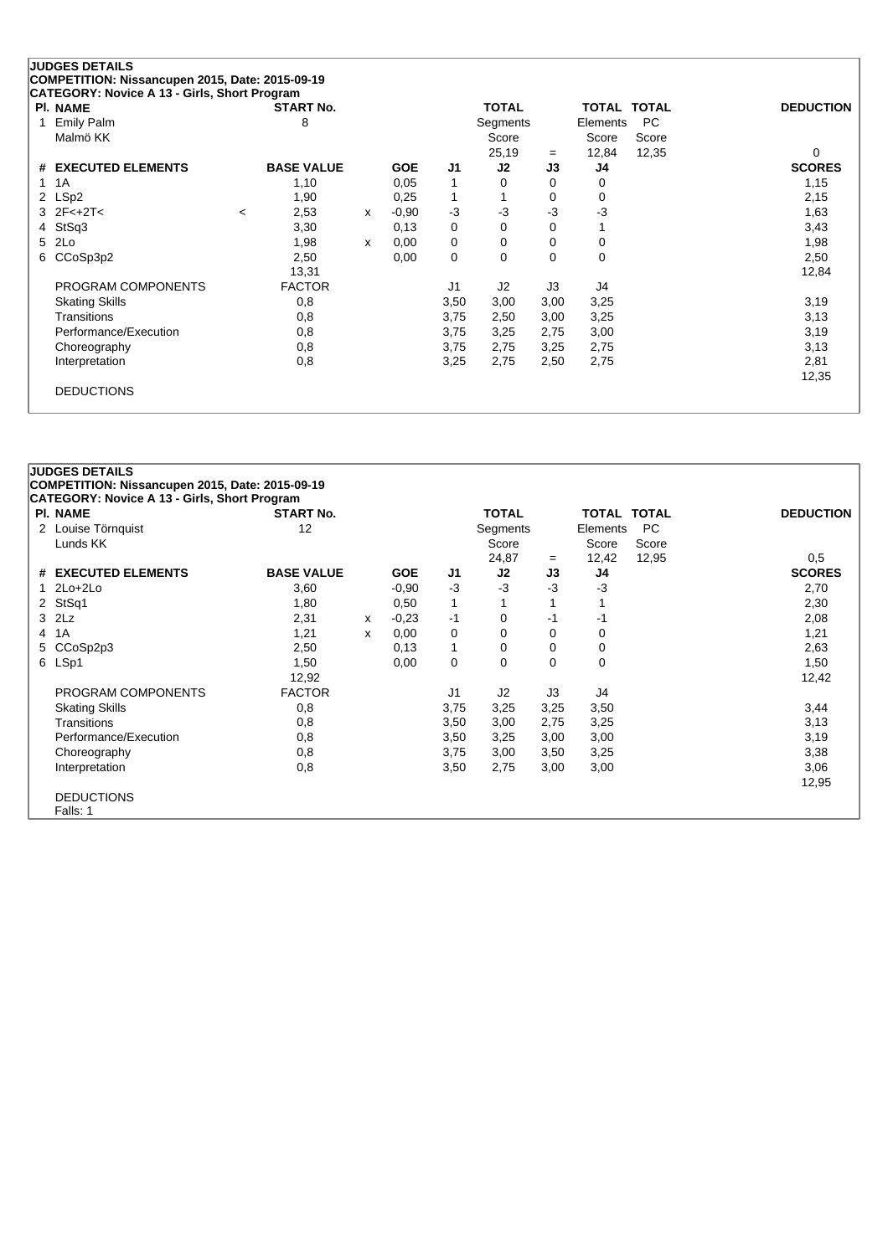| <b>PI. NAME</b>               |         | <b>START No.</b>  |   |            |          | <b>TOTAL</b>   |          | <b>TOTAL TOTAL</b> |           | <b>DEDUCTION</b> |
|-------------------------------|---------|-------------------|---|------------|----------|----------------|----------|--------------------|-----------|------------------|
| <b>Emily Palm</b>             |         | 8                 |   |            |          | Segments       |          | Elements           | <b>PC</b> |                  |
| Malmö KK                      |         |                   |   |            |          | Score          |          | Score              | Score     |                  |
|                               |         |                   |   |            |          | 25,19          | $=$      | 12,84              | 12,35     | 0                |
| <b>EXECUTED ELEMENTS</b><br># |         | <b>BASE VALUE</b> |   | <b>GOE</b> | J1       | J2             | J3       | J4                 |           | <b>SCORES</b>    |
| 1A<br>1                       |         | 1,10              |   | 0.05       |          | 0              | 0        | 0                  |           | 1,15             |
| LSp2<br>2                     |         | 1,90              |   | 0,25       |          |                | 0        | 0                  |           | 2,15             |
| $3 \, 2F < +2T <$             | $\prec$ | 2,53              | x | $-0,90$    | $-3$     | $-3$           | $-3$     | $-3$               |           | 1,63             |
| StSq3<br>4                    |         | 3,30              |   | 0,13       | $\Omega$ | $\Omega$       | 0        | 1                  |           | 3,43             |
| 2Lo<br>5                      |         | 1,98              | x | 0,00       | 0        | 0              | 0        | 0                  |           | 1,98             |
| CCoSp3p2<br>6                 |         | 2,50              |   | 0,00       | $\Omega$ | $\Omega$       | $\Omega$ | $\mathbf 0$        |           | 2,50             |
|                               |         | 13,31             |   |            |          |                |          |                    |           | 12,84            |
| PROGRAM COMPONENTS            |         | <b>FACTOR</b>     |   |            | J1       | J <sub>2</sub> | J3       | J4                 |           |                  |
| <b>Skating Skills</b>         |         | 0,8               |   |            | 3,50     | 3,00           | 3,00     | 3,25               |           | 3,19             |
| Transitions                   |         | 0,8               |   |            | 3,75     | 2,50           | 3,00     | 3,25               |           | 3,13             |
| Performance/Execution         |         | 0,8               |   |            | 3,75     | 3,25           | 2,75     | 3,00               |           | 3,19             |
| Choreography                  |         | 0,8               |   |            | 3,75     | 2,75           | 3,25     | 2,75               |           | 3,13             |
| Interpretation                |         | 0,8               |   |            | 3,25     | 2,75           | 2,50     | 2,75               |           | 2,81             |
|                               |         |                   |   |            |          |                |          |                    |           | 12,35            |

|   | <b>JUDGES DETAILS</b>                           |                   |   |            |                |              |          |                    |       |                  |
|---|-------------------------------------------------|-------------------|---|------------|----------------|--------------|----------|--------------------|-------|------------------|
|   | COMPETITION: Nissancupen 2015, Date: 2015-09-19 |                   |   |            |                |              |          |                    |       |                  |
|   | CATEGORY: Novice A 13 - Girls, Short Program    |                   |   |            |                |              |          |                    |       |                  |
|   | <b>PI. NAME</b>                                 | <b>START No.</b>  |   |            |                | <b>TOTAL</b> |          | <b>TOTAL TOTAL</b> |       | <b>DEDUCTION</b> |
|   | 2 Louise Törnquist                              | 12                |   |            |                | Segments     |          | Elements           | PC    |                  |
|   | Lunds KK                                        |                   |   |            |                | Score        |          | Score              | Score |                  |
|   |                                                 |                   |   |            |                | 24,87        | $=$      | 12,42              | 12,95 | 0,5              |
|   | # EXECUTED ELEMENTS                             | <b>BASE VALUE</b> |   | <b>GOE</b> | J1             | J2           | J3       | J4                 |       | <b>SCORES</b>    |
|   | $1$ $2Lo+2Lo$                                   | 3,60              |   | $-0.90$    | -3             | $-3$         | $-3$     | $-3$               |       | 2,70             |
|   | 2 StSq1                                         | 1,80              |   | 0,50       | 1              |              |          |                    |       | 2,30             |
|   | $3$ $2Lz$                                       | 2,31              | X | $-0.23$    | $-1$           | 0            | -1       | -1                 |       | 2,08             |
|   | 4 1A                                            | 1,21              | X | 0,00       | 0              | 0            | 0        | 0                  |       | 1,21             |
| 5 | CCoSp2p3                                        | 2,50              |   | 0,13       | 1              | 0            | 0        | 0                  |       | 2,63             |
|   | 6 LSp1                                          | 1,50              |   | 0,00       | $\mathbf 0$    | $\Omega$     | $\Omega$ | 0                  |       | 1,50             |
|   |                                                 | 12,92             |   |            |                |              |          |                    |       | 12,42            |
|   | PROGRAM COMPONENTS                              | <b>FACTOR</b>     |   |            | J <sub>1</sub> | J2           | J3       | J4                 |       |                  |
|   | <b>Skating Skills</b>                           | 0,8               |   |            | 3,75           | 3,25         | 3,25     | 3,50               |       | 3,44             |
|   | Transitions                                     | 0,8               |   |            | 3,50           | 3,00         | 2,75     | 3,25               |       | 3,13             |
|   | Performance/Execution                           | 0,8               |   |            | 3,50           | 3,25         | 3,00     | 3,00               |       | 3,19             |
|   | Choreography                                    | 0,8               |   |            | 3,75           | 3,00         | 3,50     | 3,25               |       | 3,38             |
|   | Interpretation                                  | 0,8               |   |            | 3,50           | 2,75         | 3,00     | 3,00               |       | 3,06             |
|   |                                                 |                   |   |            |                |              |          |                    |       | 12,95            |
|   | <b>DEDUCTIONS</b>                               |                   |   |            |                |              |          |                    |       |                  |
|   | Falls: 1                                        |                   |   |            |                |              |          |                    |       |                  |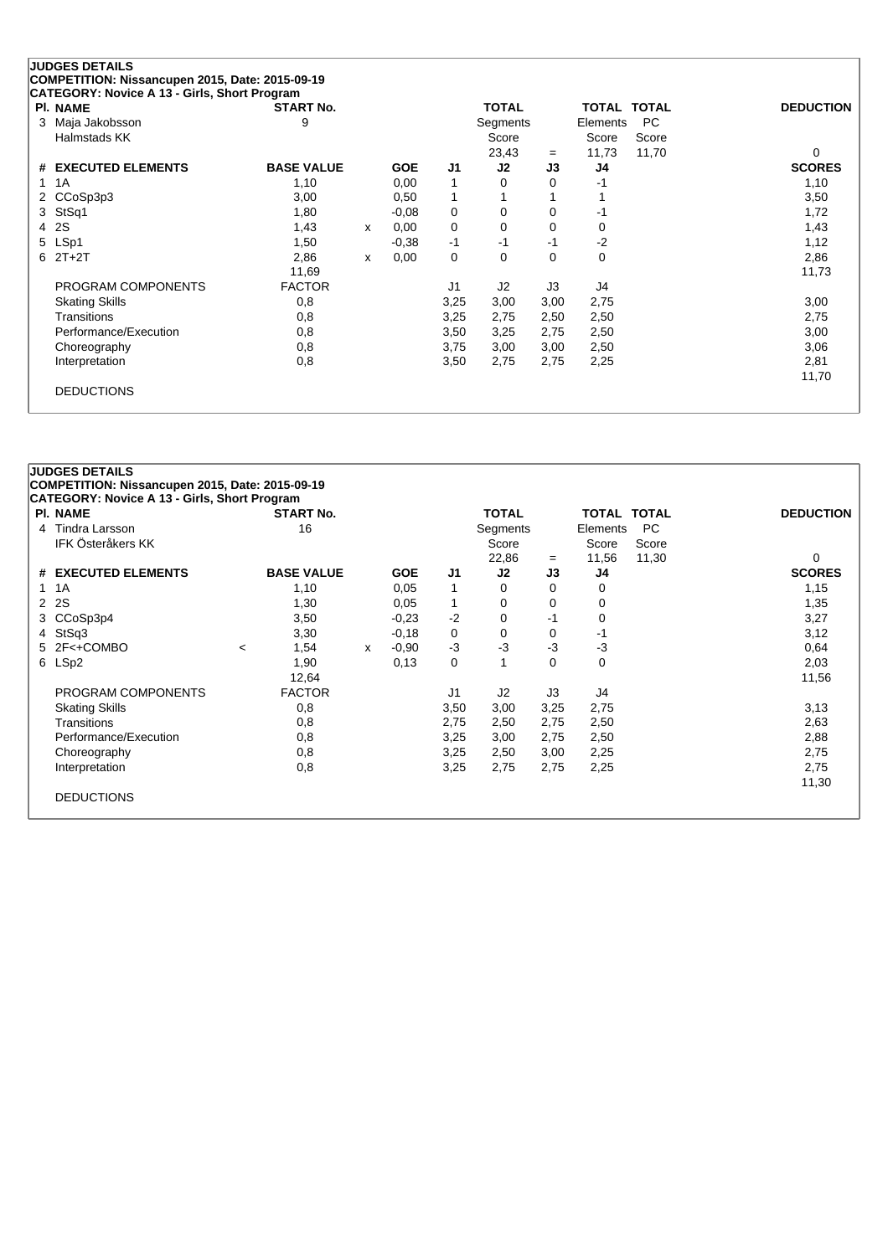| PI. NAME              | <b>START No.</b>  |   |            |             | <b>TOTAL</b> |          | <b>TOTAL TOTAL</b> |       | <b>DEDUCTION</b> |
|-----------------------|-------------------|---|------------|-------------|--------------|----------|--------------------|-------|------------------|
| Maja Jakobsson<br>3   | 9                 |   |            |             | Segments     |          | Elements           | PC.   |                  |
| Halmstads KK          |                   |   |            |             | Score        |          | Score              | Score |                  |
|                       |                   |   |            |             | 23,43        | $=$      | 11,73              | 11,70 | 0                |
| # EXECUTED ELEMENTS   | <b>BASE VALUE</b> |   | <b>GOE</b> | J1          | J2           | J3       | J4                 |       | <b>SCORES</b>    |
| 1A<br>1               | 1,10              |   | 0,00       | 1           | 0            | 0        | $-1$               |       | 1,10             |
| 2 CCoSp3p3            | 3,00              |   | 0,50       | 1           |              |          |                    |       | 3,50             |
| StSq1<br>3            | 1,80              |   | $-0.08$    | 0           | 0            | 0        | -1                 |       | 1,72             |
| 2S<br>4               | 1,43              | X | 0,00       | 0           | 0            | 0        | 0                  |       | 1,43             |
| LSp1<br>5             | 1,50              |   | $-0,38$    | $-1$        | -1           | -1       | $-2$               |       | 1,12             |
| $2T+2T$<br>6          | 2,86              | X | 0,00       | $\mathbf 0$ | $\Omega$     | $\Omega$ | 0                  |       | 2,86             |
|                       | 11,69             |   |            |             |              |          |                    |       | 11,73            |
| PROGRAM COMPONENTS    | <b>FACTOR</b>     |   |            | J1          | J2           | J3       | J4                 |       |                  |
| <b>Skating Skills</b> | 0,8               |   |            | 3,25        | 3,00         | 3,00     | 2,75               |       | 3,00             |
| Transitions           | 0,8               |   |            | 3,25        | 2,75         | 2,50     | 2,50               |       | 2,75             |
| Performance/Execution | 0,8               |   |            | 3,50        | 3,25         | 2,75     | 2,50               |       | 3,00             |
| Choreography          | 0,8               |   |            | 3,75        | 3,00         | 3,00     | 2,50               |       | 3,06             |
| Interpretation        | 0,8               |   |            | 3,50        | 2,75         | 2,75     | 2,25               |       | 2,81             |
|                       |                   |   |            |             |              |          |                    |       | 11,70            |

| <b>PI. NAME</b>       | <b>START No.</b>  |   |            |                | <b>TOTAL</b>   |          | <b>TOTAL TOTAL</b> |           | <b>DEDUCTION</b> |
|-----------------------|-------------------|---|------------|----------------|----------------|----------|--------------------|-----------|------------------|
| Tindra Larsson<br>4   | 16                |   |            |                | Segments       |          | Elements           | <b>PC</b> |                  |
| IFK Österåkers KK     |                   |   |            |                | Score          |          | Score              | Score     |                  |
|                       |                   |   |            |                | 22,86          | $=$      | 11,56              | 11,30     | 0                |
| # EXECUTED ELEMENTS   | <b>BASE VALUE</b> |   | <b>GOE</b> | J1             | J2             | J3       | J4                 |           | <b>SCORES</b>    |
| 1A<br>1               | 1,10              |   | 0,05       | 1              | $\Omega$       | $\Omega$ | 0                  |           | 1,15             |
| 2S<br>$\mathbf{2}$    | 1,30              |   | 0,05       |                | 0              | 0        | 0                  |           | 1,35             |
| 3 CCoSp3p4            | 3,50              |   | $-0.23$    | $-2$           | 0              | -1       | 0                  |           | 3,27             |
| StSq3<br>4            | 3,30              |   | $-0,18$    | 0              | 0              | 0        | -1                 |           | 3,12             |
| 5 2F<+COMBO           | 1,54<br>$\prec$   | x | $-0.90$    | $-3$           | $-3$           | $-3$     | $-3$               |           | 0,64             |
| 6 LSp2                | 1,90              |   | 0,13       | 0              |                | $\Omega$ | 0                  |           | 2,03             |
|                       | 12,64             |   |            |                |                |          |                    |           | 11,56            |
| PROGRAM COMPONENTS    | <b>FACTOR</b>     |   |            | J <sub>1</sub> | J <sub>2</sub> | J3       | J4                 |           |                  |
| <b>Skating Skills</b> | 0,8               |   |            | 3,50           | 3,00           | 3,25     | 2,75               |           | 3,13             |
| <b>Transitions</b>    | 0,8               |   |            | 2,75           | 2,50           | 2,75     | 2,50               |           | 2,63             |
| Performance/Execution | 0,8               |   |            | 3,25           | 3,00           | 2,75     | 2,50               |           | 2,88             |
| Choreography          | 0,8               |   |            | 3,25           | 2,50           | 3,00     | 2,25               |           | 2,75             |
| Interpretation        | 0,8               |   |            | 3,25           | 2,75           | 2,75     | 2,25               |           | 2,75             |
|                       |                   |   |            |                |                |          |                    |           | 11,30            |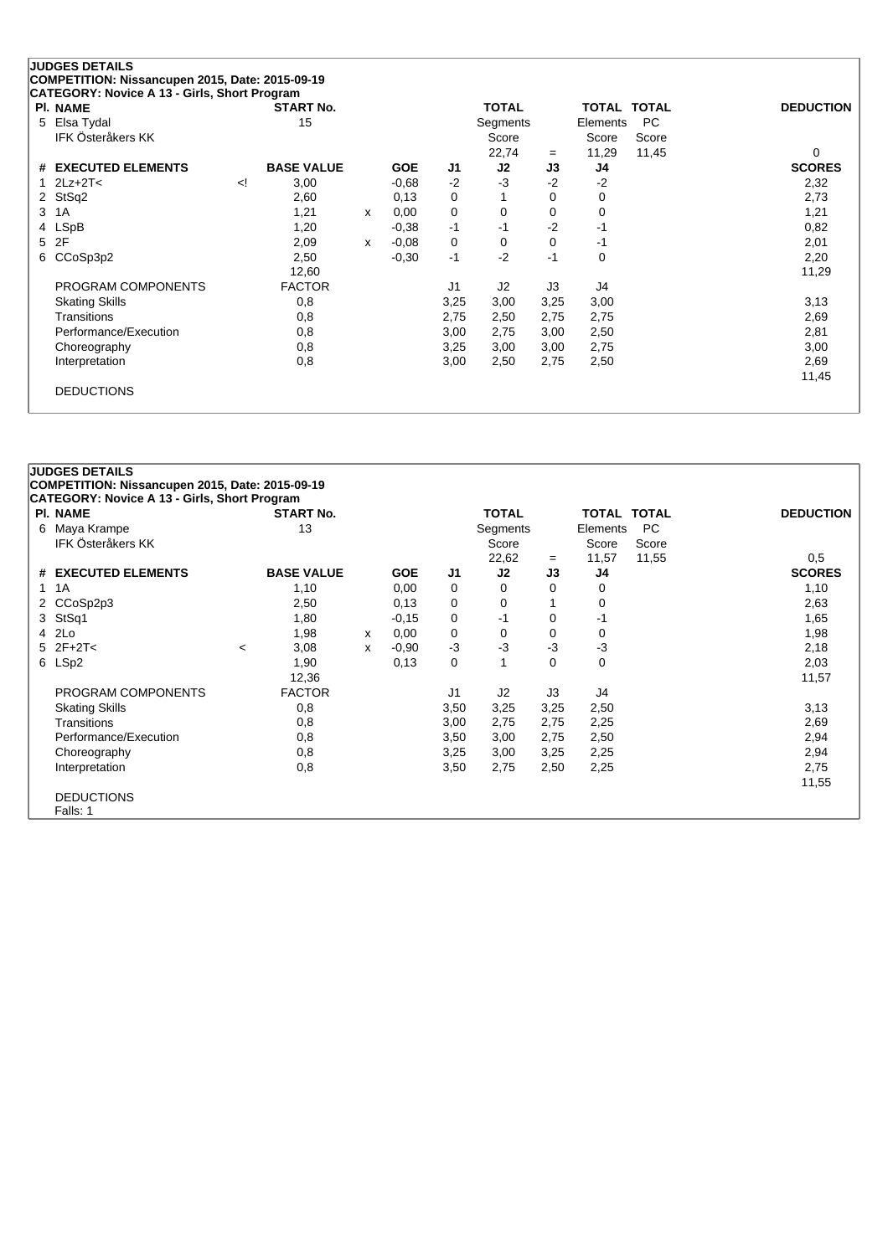|   | <b>JUDGES DETAILS</b>                                                                           |    |                   |   |            |                |                |      |              |              |                  |
|---|-------------------------------------------------------------------------------------------------|----|-------------------|---|------------|----------------|----------------|------|--------------|--------------|------------------|
|   | COMPETITION: Nissancupen 2015, Date: 2015-09-19<br>CATEGORY: Novice A 13 - Girls, Short Program |    |                   |   |            |                |                |      |              |              |                  |
|   | <b>PI. NAME</b>                                                                                 |    | <b>START No.</b>  |   |            |                | <b>TOTAL</b>   |      | <b>TOTAL</b> | <b>TOTAL</b> | <b>DEDUCTION</b> |
| 5 | Elsa Tydal                                                                                      |    | 15                |   |            |                | Segments       |      | Elements     | <b>PC</b>    |                  |
|   | <b>IFK Österåkers KK</b>                                                                        |    |                   |   |            |                | Score          |      | Score        | Score        |                  |
|   |                                                                                                 |    |                   |   |            |                | 22,74          | $=$  | 11,29        | 11,45        | 0                |
|   | # EXECUTED ELEMENTS                                                                             |    | <b>BASE VALUE</b> |   | <b>GOE</b> | J <sub>1</sub> | J2             | J3   | J4           |              | <b>SCORES</b>    |
|   | $2Lz + 2T <$                                                                                    | !> | 3,00              |   | $-0,68$    | $-2$           | $-3$           | $-2$ | $-2$         |              | 2,32             |
|   | 2 StSq2                                                                                         |    | 2,60              |   | 0,13       | 0              |                | 0    | 0            |              | 2,73             |
| 3 | 1A                                                                                              |    | 1,21              | X | 0,00       | 0              | 0              | 0    | 0            |              | 1,21             |
| 4 | <b>LSpB</b>                                                                                     |    | 1,20              |   | $-0.38$    | $-1$           | $-1$           | $-2$ | -1           |              | 0,82             |
| 5 | 2F                                                                                              |    | 2,09              | x | $-0.08$    | 0              | 0              | 0    | -1           |              | 2,01             |
| 6 | CCoSp3p2                                                                                        |    | 2,50              |   | $-0,30$    | $-1$           | $-2$           | $-1$ | 0            |              | 2,20             |
|   |                                                                                                 |    | 12,60             |   |            |                |                |      |              |              | 11,29            |
|   | PROGRAM COMPONENTS                                                                              |    | <b>FACTOR</b>     |   |            | J <sub>1</sub> | J <sub>2</sub> | J3   | J4           |              |                  |
|   | <b>Skating Skills</b>                                                                           |    | 0,8               |   |            | 3,25           | 3,00           | 3,25 | 3,00         |              | 3,13             |
|   | Transitions                                                                                     |    | 0,8               |   |            | 2,75           | 2,50           | 2,75 | 2,75         |              | 2,69             |
|   | Performance/Execution                                                                           |    | 0,8               |   |            | 3,00           | 2,75           | 3,00 | 2,50         |              | 2,81             |
|   | Choreography                                                                                    |    | 0,8               |   |            | 3,25           | 3,00           | 3,00 | 2,75         |              | 3,00             |
|   | Interpretation                                                                                  |    | 0,8               |   |            | 3,00           | 2,50           | 2,75 | 2,50         |              | 2,69             |
|   |                                                                                                 |    |                   |   |            |                |                |      |              |              | 11,45            |
|   | <b>DEDUCTIONS</b>                                                                               |    |                   |   |            |                |                |      |              |              |                  |
|   |                                                                                                 |    |                   |   |            |                |                |      |              |              |                  |

|   | <b>JUDGES DETAILS</b>                               |         |                   |   |            |      |                |          |                    |       |                  |
|---|-----------------------------------------------------|---------|-------------------|---|------------|------|----------------|----------|--------------------|-------|------------------|
|   | COMPETITION: Nissancupen 2015, Date: 2015-09-19     |         |                   |   |            |      |                |          |                    |       |                  |
|   | <b>CATEGORY: Novice A 13 - Girls, Short Program</b> |         |                   |   |            |      |                |          |                    |       |                  |
|   | <b>PI. NAME</b>                                     |         | <b>START No.</b>  |   |            |      | <b>TOTAL</b>   |          | <b>TOTAL TOTAL</b> |       | <b>DEDUCTION</b> |
|   | 6 Maya Krampe                                       |         | 13                |   |            |      | Segments       |          | Elements           | PC.   |                  |
|   | IFK Österåkers KK                                   |         |                   |   |            |      | Score          |          | Score              | Score |                  |
|   |                                                     |         |                   |   |            |      | 22,62          | $=$      | 11,57              | 11,55 | 0.5              |
|   | # EXECUTED ELEMENTS                                 |         | <b>BASE VALUE</b> |   | <b>GOE</b> | J1   | J2             | J3       | J4                 |       | <b>SCORES</b>    |
| 1 | 1A                                                  |         | 1,10              |   | 0,00       | 0    | 0              | 0        | 0                  |       | 1,10             |
|   | 2 CCoSp2p3                                          |         | 2,50              |   | 0,13       | 0    | 0              |          | 0                  |       | 2,63             |
| 3 | StSq1                                               |         | 1,80              |   | $-0.15$    | 0    | $-1$           | $\Omega$ | -1                 |       | 1,65             |
|   | 4 2Lo                                               |         | 1,98              | X | 0,00       | 0    | 0              | 0        | 0                  |       | 1,98             |
|   | $5$ $2F+2T<$                                        | $\prec$ | 3,08              | x | $-0.90$    | $-3$ | $-3$           | $-3$     | $-3$               |       | 2,18             |
|   | 6 LSp2                                              |         | 1,90              |   | 0,13       | 0    |                | 0        | 0                  |       | 2,03             |
|   |                                                     |         | 12,36             |   |            |      |                |          |                    |       | 11,57            |
|   | PROGRAM COMPONENTS                                  |         | <b>FACTOR</b>     |   |            | J1   | J <sub>2</sub> | J3       | J4                 |       |                  |
|   | <b>Skating Skills</b>                               |         | 0,8               |   |            | 3,50 | 3,25           | 3,25     | 2,50               |       | 3,13             |
|   | Transitions                                         |         | 0,8               |   |            | 3,00 | 2,75           | 2,75     | 2,25               |       | 2,69             |
|   | Performance/Execution                               |         | 0,8               |   |            | 3,50 | 3,00           | 2,75     | 2,50               |       | 2,94             |
|   | Choreography                                        |         | 0,8               |   |            | 3,25 | 3,00           | 3,25     | 2,25               |       | 2,94             |
|   | Interpretation                                      |         | 0,8               |   |            | 3,50 | 2,75           | 2,50     | 2,25               |       | 2,75             |
|   |                                                     |         |                   |   |            |      |                |          |                    |       | 11,55            |
|   | <b>DEDUCTIONS</b>                                   |         |                   |   |            |      |                |          |                    |       |                  |
|   | Falls: 1                                            |         |                   |   |            |      |                |          |                    |       |                  |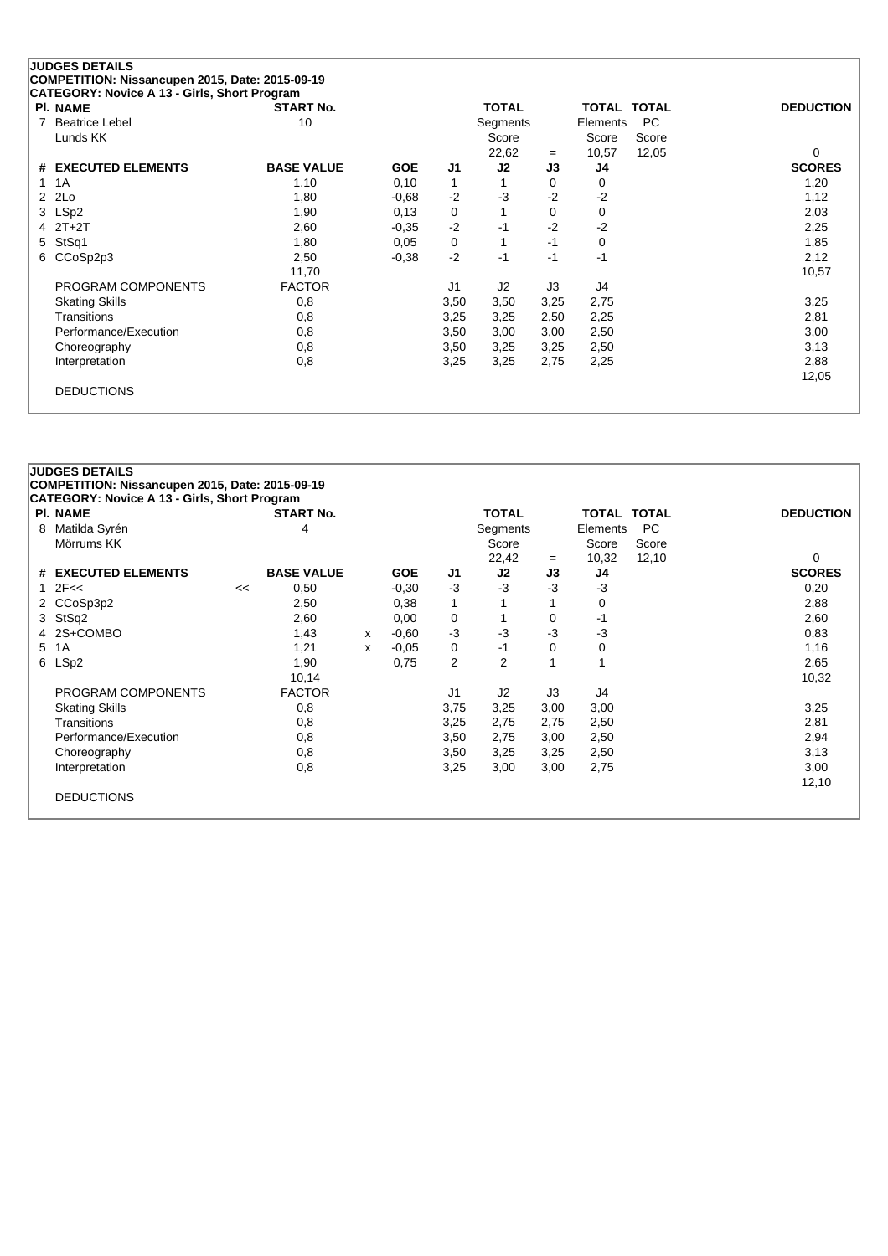| <b>JUDGES DETAILS</b>                                                                           |                   |            |      |              |      |                    |           |                  |
|-------------------------------------------------------------------------------------------------|-------------------|------------|------|--------------|------|--------------------|-----------|------------------|
| COMPETITION: Nissancupen 2015, Date: 2015-09-19<br>CATEGORY: Novice A 13 - Girls, Short Program |                   |            |      |              |      |                    |           |                  |
| <b>PI. NAME</b>                                                                                 | <b>START No.</b>  |            |      | <b>TOTAL</b> |      | <b>TOTAL TOTAL</b> |           | <b>DEDUCTION</b> |
| <b>Beatrice Lebel</b><br>7                                                                      | 10                |            |      | Segments     |      | Elements           | <b>PC</b> |                  |
| Lunds KK                                                                                        |                   |            |      | Score        |      | Score              | Score     |                  |
|                                                                                                 |                   |            |      | 22,62        | $=$  | 10,57              | 12,05     | 0                |
| <b>EXECUTED ELEMENTS</b><br>#                                                                   | <b>BASE VALUE</b> | <b>GOE</b> | J1   | J2           | J3   | J4                 |           | <b>SCORES</b>    |
| 1A                                                                                              | 1,10              | 0,10       | 1    |              | 0    | 0                  |           | 1,20             |
| 2Lo<br>2                                                                                        | 1,80              | $-0.68$    | $-2$ | $-3$         | $-2$ | $-2$               |           | 1,12             |
| LSp <sub>2</sub><br>3                                                                           | 1,90              | 0,13       | 0    |              | 0    | 0                  |           | 2,03             |
| $2T+2T$<br>4                                                                                    | 2,60              | $-0.35$    | $-2$ | $-1$         | $-2$ | $-2$               |           | 2,25             |
| StSq1<br>5                                                                                      | 1,80              | 0.05       | 0    |              | $-1$ | 0                  |           | 1,85             |
| CCoSp2p3<br>6                                                                                   | 2,50              | $-0.38$    | $-2$ | $-1$         | $-1$ | $-1$               |           | 2,12             |
|                                                                                                 | 11,70             |            |      |              |      |                    |           | 10,57            |
| PROGRAM COMPONENTS                                                                              | <b>FACTOR</b>     |            | J1   | J2           | J3   | J4                 |           |                  |
| <b>Skating Skills</b>                                                                           | 0,8               |            | 3,50 | 3,50         | 3,25 | 2,75               |           | 3,25             |
| Transitions                                                                                     | 0,8               |            | 3,25 | 3,25         | 2,50 | 2,25               |           | 2,81             |
| Performance/Execution                                                                           | 0,8               |            | 3,50 | 3,00         | 3,00 | 2,50               |           | 3,00             |
| Choreography                                                                                    | 0,8               |            | 3,50 | 3,25         | 3,25 | 2,50               |           | 3,13             |
| Interpretation                                                                                  | 0,8               |            | 3,25 | 3,25         | 2,75 | 2,25               |           | 2,88             |
|                                                                                                 |                   |            |      |              |      |                    |           | 12,05            |
| <b>DEDUCTIONS</b>                                                                               |                   |            |      |              |      |                    |           |                  |
|                                                                                                 |                   |            |      |              |      |                    |           |                  |

| <b>PI. NAME</b>       |    | <b>START No.</b>  |   |            |                | <b>TOTAL</b> |      | <b>TOTAL TOTAL</b> |       | <b>DEDUCTION</b> |
|-----------------------|----|-------------------|---|------------|----------------|--------------|------|--------------------|-------|------------------|
| Matilda Syrén<br>8    |    | 4                 |   |            |                | Segments     |      | Elements           | PC.   |                  |
| Mörrums KK            |    |                   |   |            |                | Score        |      | Score              | Score |                  |
|                       |    |                   |   |            |                | 22,42        | $=$  | 10,32              | 12,10 | 0                |
| # EXECUTED ELEMENTS   |    | <b>BASE VALUE</b> |   | <b>GOE</b> | J1             | J2           | J3   | J4                 |       | <b>SCORES</b>    |
| 2F<<<br>1.            | << | 0,50              |   | $-0,30$    | $-3$           | $-3$         | $-3$ | $-3$               |       | 0,20             |
| 2 CCoSp3p2            |    | 2,50              |   | 0,38       | 1              |              |      | 0                  |       | 2,88             |
| StSq2<br>3            |    | 2,60              |   | 0,00       | 0              |              | 0    | -1                 |       | 2,60             |
| 2S+COMBO<br>4         |    | 1,43              | x | $-0.60$    | $-3$           | $-3$         | $-3$ | $-3$               |       | 0,83             |
| 5<br>1A               |    | 1,21              | X | $-0.05$    | 0              | -1           | 0    | 0                  |       | 1,16             |
| LSp2<br>6             |    | 1,90              |   | 0,75       | $\overline{2}$ | 2            |      |                    |       | 2,65             |
|                       |    | 10,14             |   |            |                |              |      |                    |       | 10,32            |
| PROGRAM COMPONENTS    |    | <b>FACTOR</b>     |   |            | J <sub>1</sub> | J2           | J3   | J4                 |       |                  |
| <b>Skating Skills</b> |    | 0,8               |   |            | 3,75           | 3,25         | 3,00 | 3,00               |       | 3,25             |
| Transitions           |    | 0,8               |   |            | 3,25           | 2,75         | 2,75 | 2,50               |       | 2,81             |
| Performance/Execution |    | 0,8               |   |            | 3,50           | 2,75         | 3,00 | 2,50               |       | 2,94             |
| Choreography          |    | 0,8               |   |            | 3,50           | 3,25         | 3,25 | 2,50               |       | 3,13             |
| Interpretation        |    | 0,8               |   |            | 3,25           | 3,00         | 3,00 | 2,75               |       | 3,00             |
|                       |    |                   |   |            |                |              |      |                    |       | 12,10            |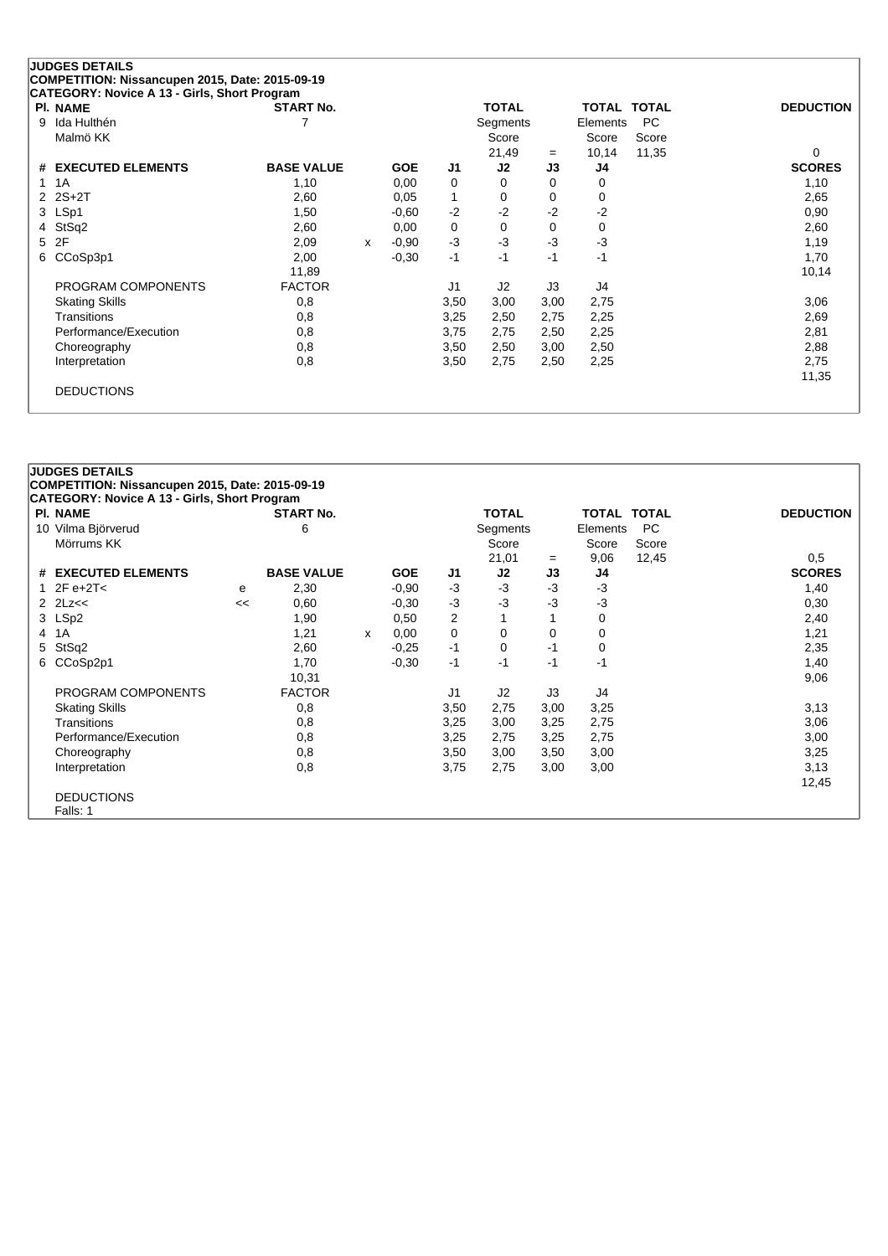|   | <b>JUDGES DETAILS</b><br>COMPETITION: Nissancupen 2015, Date: 2015-09-19 |                   |   |            |      |                |      |          |                    |                  |
|---|--------------------------------------------------------------------------|-------------------|---|------------|------|----------------|------|----------|--------------------|------------------|
|   | CATEGORY: Novice A 13 - Girls, Short Program                             |                   |   |            |      |                |      |          |                    |                  |
|   | <b>PI. NAME</b>                                                          | <b>START No.</b>  |   |            |      | <b>TOTAL</b>   |      |          | <b>TOTAL TOTAL</b> | <b>DEDUCTION</b> |
| 9 | Ida Hulthén                                                              |                   |   |            |      | Segments       |      | Elements | <b>PC</b>          |                  |
|   | Malmö KK                                                                 |                   |   |            |      | Score          |      | Score    | Score              |                  |
|   |                                                                          |                   |   |            |      | 21,49          | $=$  | 10,14    | 11,35              | $\Omega$         |
| # | <b>EXECUTED ELEMENTS</b>                                                 | <b>BASE VALUE</b> |   | <b>GOE</b> | J1   | J2             | J3   | J4       |                    | <b>SCORES</b>    |
|   | 1A                                                                       | 1,10              |   | 0,00       | 0    | 0              | 0    | 0        |                    | 1,10             |
|   | $2 \t2S+2T$                                                              | 2,60              |   | 0.05       |      | 0              | 0    | 0        |                    | 2,65             |
|   | 3 LSp1                                                                   | 1,50              |   | $-0.60$    | $-2$ | $-2$           | $-2$ | $-2$     |                    | 0,90             |
|   | 4 StSq2                                                                  | 2,60              |   | 0,00       | 0    | 0              | 0    | 0        |                    | 2,60             |
| 5 | 2F                                                                       | 2,09              | x | $-0.90$    | $-3$ | $-3$           | $-3$ | $-3$     |                    | 1,19             |
| 6 | CCoSp3p1                                                                 | 2,00              |   | $-0,30$    | $-1$ | $-1$           | $-1$ | $-1$     |                    | 1,70             |
|   |                                                                          | 11,89             |   |            |      |                |      |          |                    | 10,14            |
|   | PROGRAM COMPONENTS                                                       | <b>FACTOR</b>     |   |            | J1   | J <sub>2</sub> | J3   | J4       |                    |                  |
|   | <b>Skating Skills</b>                                                    | 0,8               |   |            | 3,50 | 3,00           | 3,00 | 2,75     |                    | 3,06             |
|   | Transitions                                                              | 0,8               |   |            | 3,25 | 2,50           | 2,75 | 2,25     |                    | 2,69             |
|   | Performance/Execution                                                    | 0,8               |   |            | 3,75 | 2,75           | 2,50 | 2,25     |                    | 2,81             |
|   | Choreography                                                             | 0,8               |   |            | 3,50 | 2,50           | 3,00 | 2,50     |                    | 2,88             |

DEDUCTIONS

|   | <b>JUDGES DETAILS</b><br>COMPETITION: Nissancupen 2015, Date: 2015-09-19<br><b>CATEGORY: Novice A 13 - Girls, Short Program</b> |    |                   |   |            |                |                |      |                    |           |                  |
|---|---------------------------------------------------------------------------------------------------------------------------------|----|-------------------|---|------------|----------------|----------------|------|--------------------|-----------|------------------|
|   | <b>PI. NAME</b>                                                                                                                 |    | <b>START No.</b>  |   |            |                | <b>TOTAL</b>   |      | <b>TOTAL TOTAL</b> |           | <b>DEDUCTION</b> |
|   | 10 Vilma Björverud                                                                                                              |    | 6                 |   |            |                | Segments       |      | Elements           | <b>PC</b> |                  |
|   | Mörrums KK                                                                                                                      |    |                   |   |            |                | Score          |      | Score              | Score     |                  |
|   |                                                                                                                                 |    |                   |   |            |                | 21,01          | $=$  | 9,06               | 12,45     | 0,5              |
|   | # EXECUTED ELEMENTS                                                                                                             |    | <b>BASE VALUE</b> |   | <b>GOE</b> | J1             | J2             | J3   | J4                 |           | <b>SCORES</b>    |
|   | 1 $2F e + 2T <$                                                                                                                 | е  | 2,30              |   | $-0.90$    | $-3$           | $-3$           | $-3$ | $-3$               |           | 1,40             |
|   |                                                                                                                                 | << | 0,60              |   | $-0,30$    | $-3$           | $-3$           | -3   | $-3$               |           | 0,30             |
|   | 3 LSp2                                                                                                                          |    | 1,90              |   | 0,50       | 2              |                |      | 0                  |           | 2,40             |
| 4 | 1A                                                                                                                              |    | 1,21              | X | 0.00       | 0              | 0              | 0    | 0                  |           | 1,21             |
| 5 | StSq2                                                                                                                           |    | 2,60              |   | $-0.25$    | $-1$           | $\Omega$       | $-1$ | 0                  |           | 2,35             |
|   | 6 CCoSp2p1                                                                                                                      |    | 1,70              |   | $-0.30$    | $-1$           | $-1$           | $-1$ | $-1$               |           | 1,40             |
|   |                                                                                                                                 |    | 10,31             |   |            |                |                |      |                    |           | 9,06             |
|   | PROGRAM COMPONENTS                                                                                                              |    | <b>FACTOR</b>     |   |            | J <sub>1</sub> | J <sub>2</sub> | J3   | J4                 |           |                  |
|   | <b>Skating Skills</b>                                                                                                           |    | 0,8               |   |            | 3,50           | 2,75           | 3,00 | 3,25               |           | 3,13             |
|   | Transitions                                                                                                                     |    | 0,8               |   |            | 3,25           | 3,00           | 3,25 | 2,75               |           | 3,06             |
|   | Performance/Execution                                                                                                           |    | 0,8               |   |            | 3,25           | 2,75           | 3,25 | 2,75               |           | 3,00             |
|   | Choreography                                                                                                                    |    | 0,8               |   |            | 3,50           | 3,00           | 3,50 | 3,00               |           | 3,25             |
|   | Interpretation                                                                                                                  |    | 0,8               |   |            | 3,75           | 2,75           | 3,00 | 3,00               |           | 3,13             |
|   |                                                                                                                                 |    |                   |   |            |                |                |      |                    |           | 12,45            |
|   | <b>DEDUCTIONS</b>                                                                                                               |    |                   |   |            |                |                |      |                    |           |                  |
|   | Falls: 1                                                                                                                        |    |                   |   |            |                |                |      |                    |           |                  |

Choreography 0,8 0,8 3,50 2,50 3,00 2,50 2,88<br>
Interpretation 0,8 3,50 2,75 2,50 2,25 2,75 2,75

Interpretation 0,8 3,50 2,75 2,50 2,25 2,75

11,35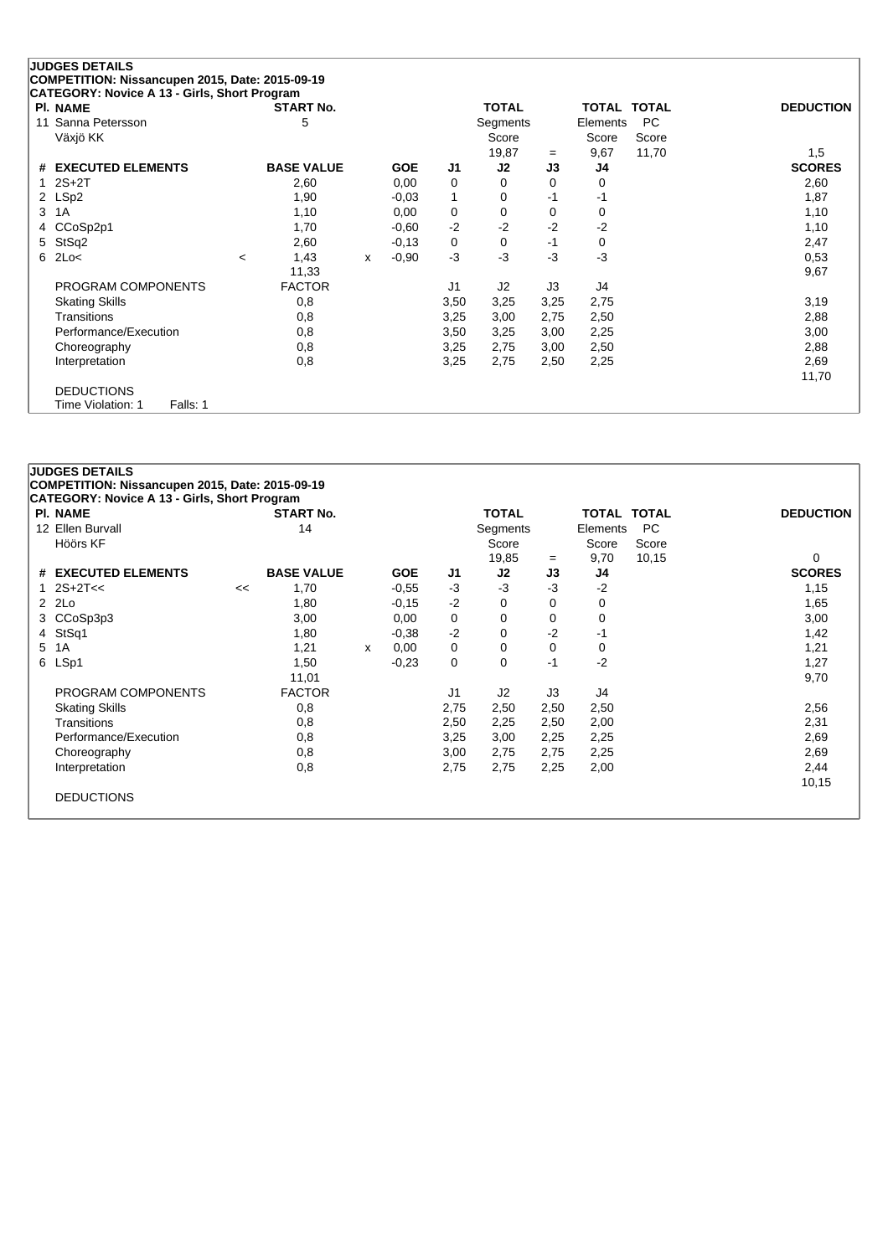| <b>JUDGES DETAILS</b>                                                                           |                   |              |            |                |              |          |                    |       |                  |
|-------------------------------------------------------------------------------------------------|-------------------|--------------|------------|----------------|--------------|----------|--------------------|-------|------------------|
| COMPETITION: Nissancupen 2015, Date: 2015-09-19<br>CATEGORY: Novice A 13 - Girls, Short Program |                   |              |            |                |              |          |                    |       |                  |
| <b>PI. NAME</b>                                                                                 | <b>START No.</b>  |              |            |                | <b>TOTAL</b> |          | <b>TOTAL TOTAL</b> |       | <b>DEDUCTION</b> |
| Sanna Petersson<br>11                                                                           | 5                 |              |            |                | Segments     |          | Elements           | PC.   |                  |
| Växjö KK                                                                                        |                   |              |            |                | Score        |          | Score              | Score |                  |
|                                                                                                 |                   |              |            |                | 19,87        | $=$      | 9,67               | 11,70 | 1,5              |
| # EXECUTED ELEMENTS                                                                             | <b>BASE VALUE</b> |              | <b>GOE</b> | J <sub>1</sub> | J2           | J3       | J4                 |       | <b>SCORES</b>    |
| $2S+2T$                                                                                         | 2,60              |              | 0,00       | 0              | 0            | $\Omega$ | 0                  |       | 2,60             |
| LSp2<br>$\mathbf{2}^{\circ}$                                                                    | 1,90              |              | $-0,03$    | 1              | 0            | $-1$     | $-1$               |       | 1,87             |
| 1A<br>3                                                                                         | 1,10              |              | 0,00       | 0              | 0            | 0        | 0                  |       | 1,10             |
| CCoSp2p1<br>4                                                                                   | 1,70              |              | $-0,60$    | $-2$           | $-2$         | $-2$     | $-2$               |       | 1,10             |
| StSq2<br>5                                                                                      | 2,60              |              | $-0,13$    | 0              | 0            | $-1$     | 0                  |       | 2,47             |
| 2Lo<<br>6                                                                                       | 1,43<br>$\,<\,$   | $\mathsf{x}$ | $-0.90$    | $-3$           | $-3$         | $-3$     | $-3$               |       | 0,53             |
|                                                                                                 | 11,33             |              |            |                |              |          |                    |       | 9,67             |
| PROGRAM COMPONENTS                                                                              | <b>FACTOR</b>     |              |            | J1             | J2           | J3       | J4                 |       |                  |
| <b>Skating Skills</b>                                                                           | 0,8               |              |            | 3,50           | 3,25         | 3,25     | 2,75               |       | 3,19             |
| Transitions                                                                                     | 0,8               |              |            | 3,25           | 3,00         | 2,75     | 2,50               |       | 2,88             |
| Performance/Execution                                                                           | 0,8               |              |            | 3,50           | 3,25         | 3,00     | 2,25               |       | 3,00             |
| Choreography                                                                                    | 0,8               |              |            | 3,25           | 2,75         | 3,00     | 2,50               |       | 2,88             |
| Interpretation                                                                                  | 0,8               |              |            | 3,25           | 2,75         | 2,50     | 2,25               |       | 2,69             |
|                                                                                                 |                   |              |            |                |              |          |                    |       | 11,70            |
| <b>DEDUCTIONS</b>                                                                               |                   |              |            |                |              |          |                    |       |                  |
| Falls: 1<br>Time Violation: 1                                                                   |                   |              |            |                |              |          |                    |       |                  |

|   | <b>PI. NAME</b>       |    | <b>START No.</b>  |   |            |                | <b>TOTAL</b>   |      | <b>TOTAL TOTAL</b> |           | <b>DEDUCTION</b> |
|---|-----------------------|----|-------------------|---|------------|----------------|----------------|------|--------------------|-----------|------------------|
|   | 12 Ellen Burvall      |    | 14                |   |            |                | Segments       |      | Elements           | <b>PC</b> |                  |
|   | Höörs KF              |    |                   |   |            |                | Score          |      | Score              | Score     |                  |
|   |                       |    |                   |   |            |                | 19,85          | $=$  | 9,70               | 10,15     | 0                |
|   | # EXECUTED ELEMENTS   |    | <b>BASE VALUE</b> |   | <b>GOE</b> | J <sub>1</sub> | J2             | J3   | J4                 |           | <b>SCORES</b>    |
|   | 1 $2S+2T<<$           | << | 1,70              |   | $-0.55$    | $-3$           | $-3$           | $-3$ | $-2$               |           | 1,15             |
|   | 2 2Lo                 |    | 1,80              |   | $-0,15$    | $-2$           | $\Omega$       | 0    | 0                  |           | 1,65             |
| 3 | CCoSp3p3              |    | 3,00              |   | 0,00       | 0              | 0              | 0    | 0                  |           | 3,00             |
|   | 4 StSq1               |    | 1,80              |   | $-0.38$    | $-2$           | 0              | $-2$ | -1                 |           | 1,42             |
|   | 5 1A                  |    | 1,21              | X | 0,00       | 0              | 0              | 0    | 0                  |           | 1,21             |
|   | 6 LSp1                |    | 1,50              |   | $-0,23$    | 0              | 0              | -1   | $-2$               |           | 1,27             |
|   |                       |    | 11,01             |   |            |                |                |      |                    |           | 9,70             |
|   | PROGRAM COMPONENTS    |    | <b>FACTOR</b>     |   |            | J1             | J <sub>2</sub> | J3   | J4                 |           |                  |
|   | <b>Skating Skills</b> |    | 0,8               |   |            | 2,75           | 2,50           | 2,50 | 2,50               |           | 2,56             |
|   | <b>Transitions</b>    |    | 0,8               |   |            | 2,50           | 2,25           | 2,50 | 2,00               |           | 2,31             |
|   | Performance/Execution |    | 0,8               |   |            | 3,25           | 3,00           | 2,25 | 2,25               |           | 2,69             |
|   | Choreography          |    | 0,8               |   |            | 3,00           | 2,75           | 2,75 | 2,25               |           | 2,69             |
|   | Interpretation        |    | 0,8               |   |            | 2,75           | 2,75           | 2,25 | 2,00               |           | 2,44             |
|   |                       |    |                   |   |            |                |                |      |                    |           | 10,15            |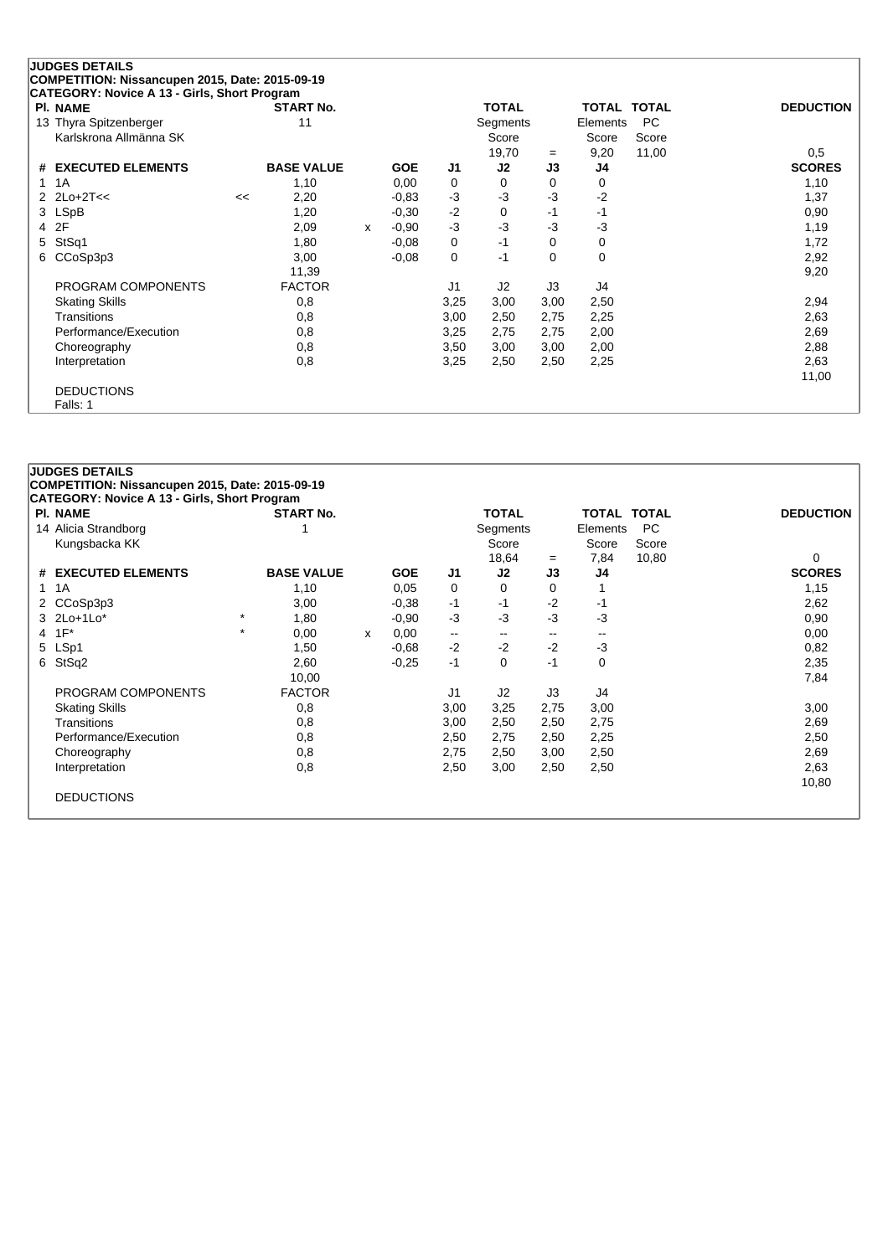|   | <b>JUDGES DETAILS</b>                                           |    |                   |   |            |                |                   |          |               |                    |                  |
|---|-----------------------------------------------------------------|----|-------------------|---|------------|----------------|-------------------|----------|---------------|--------------------|------------------|
|   | COMPETITION: Nissancupen 2015, Date: 2015-09-19                 |    |                   |   |            |                |                   |          |               |                    |                  |
|   | CATEGORY: Novice A 13 - Girls, Short Program<br><b>PI. NAME</b> |    | <b>START No.</b>  |   |            |                | <b>TOTAL</b>      |          |               | TOTAL TOTAL        | <b>DEDUCTION</b> |
|   | 13 Thyra Spitzenberger<br>Karlskrona Allmänna SK                |    | 11                |   |            |                | Segments<br>Score |          | Elements      | <b>PC</b><br>Score |                  |
|   |                                                                 |    |                   |   |            |                | 19,70             | $=$      | Score<br>9,20 | 11,00              | 0.5              |
| # | <b>EXECUTED ELEMENTS</b>                                        |    | <b>BASE VALUE</b> |   | <b>GOE</b> | J1             | J2                | J3       | J4            |                    | <b>SCORES</b>    |
|   | 1A                                                              |    | 1,10              |   | 0,00       | 0              | 0                 | 0        | 0             |                    | 1,10             |
|   | 2 $2$ Lo+ $2$ T<<                                               | << | 2,20              |   | $-0.83$    | $-3$           | $-3$              | $-3$     | $-2$          |                    | 1,37             |
|   | 3 LSpB                                                          |    | 1,20              |   | $-0.30$    | $-2$           | 0                 | $-1$     | -1            |                    | 0,90             |
| 4 | 2F                                                              |    | 2,09              | X | $-0.90$    | $-3$           | $-3$              | $-3$     | $-3$          |                    | 1,19             |
| 5 | StSq1                                                           |    | 1,80              |   | $-0.08$    | 0              | $-1$              | $\Omega$ | $\mathbf 0$   |                    | 1,72             |
| 6 | CCoSp3p3                                                        |    | 3,00              |   | $-0,08$    | 0              | $-1$              | $\Omega$ | $\Omega$      |                    | 2,92             |
|   |                                                                 |    | 11,39             |   |            |                |                   |          |               |                    | 9,20             |
|   | PROGRAM COMPONENTS                                              |    | <b>FACTOR</b>     |   |            | J <sub>1</sub> | J <sub>2</sub>    | J3       | J4            |                    |                  |
|   | <b>Skating Skills</b>                                           |    | 0,8               |   |            | 3,25           | 3,00              | 3,00     | 2,50          |                    | 2,94             |
|   | <b>Transitions</b>                                              |    | 0,8               |   |            | 3,00           | 2,50              | 2,75     | 2,25          |                    | 2,63             |
|   | Performance/Execution                                           |    | 0,8               |   |            | 3,25           | 2,75              | 2,75     | 2,00          |                    | 2,69             |
|   | Choreography                                                    |    | 0,8               |   |            | 3,50           | 3,00              | 3,00     | 2,00          |                    | 2,88             |
|   | Interpretation                                                  |    | 0,8               |   |            | 3,25           | 2,50              | 2,50     | 2,25          |                    | 2,63             |
|   |                                                                 |    |                   |   |            |                |                   |          |               |                    | 11,00            |
|   | <b>DEDUCTIONS</b>                                               |    |                   |   |            |                |                   |          |               |                    |                  |
|   | Falls: 1                                                        |    |                   |   |            |                |                   |          |               |                    |                  |

|              | <b>PI. NAME</b>       |         | <b>START No.</b>  |   |            |                | <b>TOTAL</b>             |                          | <b>TOTAL TOTAL</b> |       | <b>DEDUCTION</b> |
|--------------|-----------------------|---------|-------------------|---|------------|----------------|--------------------------|--------------------------|--------------------|-------|------------------|
|              | 14 Alicia Strandborg  |         |                   |   |            |                | Segments                 |                          | Elements           | PC.   |                  |
|              | Kungsbacka KK         |         |                   |   |            |                | Score                    |                          | Score              | Score |                  |
|              |                       |         |                   |   |            | 18,64<br>$=$   |                          |                          | 7,84               | 10,80 | $\Omega$         |
|              | # EXECUTED ELEMENTS   |         | <b>BASE VALUE</b> |   | <b>GOE</b> | J1             | J2                       | J3                       | J4                 |       | <b>SCORES</b>    |
| $\mathbf{1}$ | 1A                    |         | 1,10              |   | 0,05       | 0              | $\Omega$                 | 0                        |                    |       | 1,15             |
| 2            | CCoSp3p3              |         | 3,00              |   | $-0.38$    | -1             | -1                       | $-2$                     | -1                 |       | 2,62             |
|              | 3 2Lo+1Lo*            | $\star$ | 1,80              |   | $-0.90$    | $-3$           | $-3$                     | -3                       | -3                 |       | 0,90             |
|              | 4 1F*                 | $\star$ | 0,00              | x | 0,00       | $\mathbf{u}$   | $\overline{\phantom{m}}$ | $\overline{\phantom{m}}$ |                    |       | 0,00             |
|              | 5 LSp1                |         | 1,50              |   | $-0.68$    | $-2$           | $-2$                     | $-2$                     | $-3$               |       | 0,82             |
|              | 6 StSq2               |         | 2,60              |   | $-0.25$    | $-1$           | $\Omega$                 | -1                       | 0                  |       | 2,35             |
|              |                       |         | 10,00             |   |            |                |                          |                          |                    |       | 7,84             |
|              | PROGRAM COMPONENTS    |         | <b>FACTOR</b>     |   |            | J <sub>1</sub> | J <sub>2</sub>           | J3                       | J4                 |       |                  |
|              | <b>Skating Skills</b> |         | 0,8               |   |            | 3,00           | 3,25                     | 2,75                     | 3,00               |       | 3,00             |
|              | Transitions           |         | 0,8               |   |            | 3,00           | 2,50                     | 2,50                     | 2,75               |       | 2,69             |
|              | Performance/Execution |         | 0,8               |   |            | 2,50           | 2,75                     | 2,50                     | 2,25               |       | 2,50             |
|              | Choreography          |         | 0,8               |   |            | 2,75           | 2,50                     | 3,00                     | 2,50               |       | 2,69             |
|              | Interpretation        |         | 0,8               |   |            | 2,50           | 3,00                     | 2,50                     | 2,50               |       | 2,63             |
|              |                       |         |                   |   |            |                |                          |                          |                    |       | 10,80            |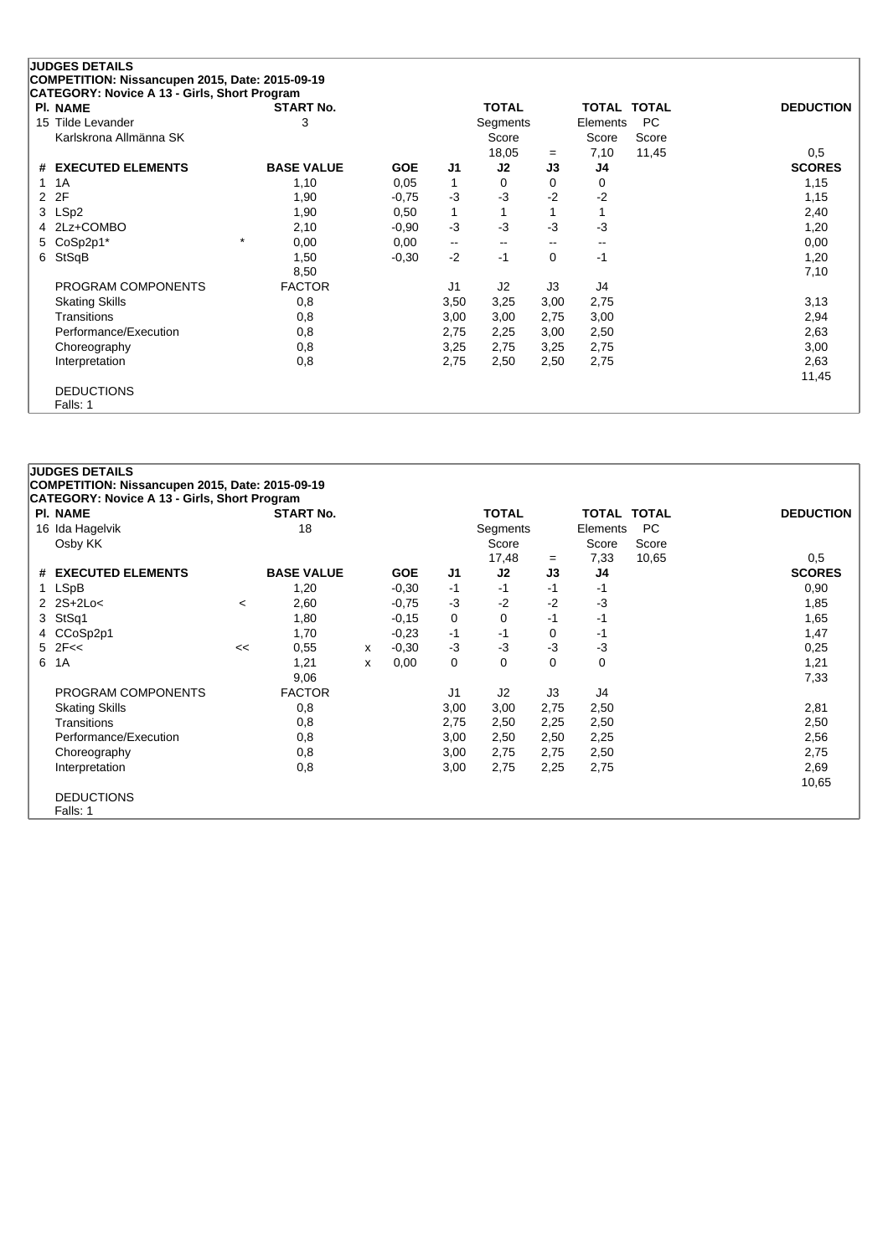| <b>PI. NAME</b>        | <b>START No.</b>  |            |                          | <b>TOTAL</b>      |       | <b>TOTAL TOTAL</b> |       | <b>DEDUCTION</b> |
|------------------------|-------------------|------------|--------------------------|-------------------|-------|--------------------|-------|------------------|
| 15 Tilde Levander      | 3                 |            |                          | Segments          |       | Elements           | PC.   |                  |
| Karlskrona Allmänna SK |                   |            |                          | Score             |       | Score              | Score |                  |
|                        |                   |            |                          | 18,05             | $=$   | 7,10               | 11,45 | 0,5              |
| # EXECUTED ELEMENTS    | <b>BASE VALUE</b> | <b>GOE</b> | J <sub>1</sub>           | J2                | J3    | J4                 |       | <b>SCORES</b>    |
| 1A                     | 1,10              | 0,05       | 1                        | 0                 | 0     | 0                  |       | 1,15             |
| 2F<br>2                | 1,90              | $-0,75$    | $-3$                     | $-3$              | $-2$  | $-2$               |       | 1,15             |
| LSp2<br>3              | 1,90              | 0,50       | $\mathbf{1}$             |                   |       |                    |       | 2,40             |
| 2Lz+COMBO              | 2,10              | $-0.90$    | $-3$                     | $-3$              | -3    | $-3$               |       | 1,20             |
| CoSp2p1*<br>5          | $\star$<br>0,00   | 0,00       | $\overline{\phantom{a}}$ | $\hspace{0.05cm}$ | $- -$ | $\sim$ $\sim$      |       | 0,00             |
| StSqB<br>6             | 1,50              | $-0,30$    | $-2$                     | $-1$              | 0     | -1                 |       | 1,20             |
|                        | 8,50              |            |                          |                   |       |                    |       | 7,10             |
| PROGRAM COMPONENTS     | <b>FACTOR</b>     |            | J <sub>1</sub>           | J2                | J3    | J4                 |       |                  |
| <b>Skating Skills</b>  | 0,8               |            | 3,50                     | 3,25              | 3,00  | 2,75               |       | 3,13             |
| Transitions            | 0,8               |            | 3,00                     | 3,00              | 2,75  | 3,00               |       | 2,94             |
| Performance/Execution  | 0,8               |            | 2,75                     | 2,25              | 3,00  | 2,50               |       | 2,63             |
| Choreography           | 0,8               |            | 3,25                     | 2,75              | 3,25  | 2,75               |       | 3,00             |
| Interpretation         | 0,8               |            | 2,75                     | 2,50              | 2,50  | 2,75               |       | 2,63             |
|                        |                   |            |                          |                   |       |                    |       | 11,45            |

| <b>JUDGES DETAILS</b>                               |         |                   |   |            |      |                |      |                    |       |                  |
|-----------------------------------------------------|---------|-------------------|---|------------|------|----------------|------|--------------------|-------|------------------|
| COMPETITION: Nissancupen 2015, Date: 2015-09-19     |         |                   |   |            |      |                |      |                    |       |                  |
| <b>CATEGORY: Novice A 13 - Girls, Short Program</b> |         |                   |   |            |      |                |      |                    |       |                  |
| <b>PI. NAME</b>                                     |         | <b>START No.</b>  |   |            |      | <b>TOTAL</b>   |      | <b>TOTAL TOTAL</b> |       | <b>DEDUCTION</b> |
| 16 Ida Hagelvik                                     |         | 18                |   |            |      | Segments       |      | Elements           | PC    |                  |
| Osby KK                                             |         |                   |   |            |      | Score          |      | Score              | Score |                  |
|                                                     |         |                   |   |            |      | 17,48          | $=$  | 7,33               | 10,65 | 0,5              |
| # EXECUTED ELEMENTS                                 |         | <b>BASE VALUE</b> |   | <b>GOE</b> | J1   | J2             | J3   | J4                 |       | <b>SCORES</b>    |
| 1 LSpB                                              |         | 1,20              |   | $-0.30$    | $-1$ | $-1$           | -1   | -1                 |       | 0,90             |
| $2$ $2S+2Lo<$                                       | $\,<\,$ | 2,60              |   | $-0,75$    | $-3$ | $-2$           | $-2$ | $-3$               |       | 1,85             |
| 3 StSq1                                             |         | 1,80              |   | $-0,15$    | 0    | 0              | $-1$ | $-1$               |       | 1,65             |
| 4 CCoSp2p1                                          |         | 1,70              |   | $-0.23$    | $-1$ | -1             | 0    | -1                 |       | 1,47             |
| $5$ $2F <$                                          | <<      | 0,55              | x | $-0,30$    | $-3$ | $-3$           | $-3$ | $-3$               |       | 0,25             |
| 6 1A                                                |         | 1,21              | x | 0,00       | 0    | 0              | 0    | 0                  |       | 1,21             |
|                                                     |         | 9,06              |   |            |      |                |      |                    |       | 7,33             |
| PROGRAM COMPONENTS                                  |         | <b>FACTOR</b>     |   |            | J1   | J <sub>2</sub> | J3   | J4                 |       |                  |
| <b>Skating Skills</b>                               |         | 0,8               |   |            | 3,00 | 3,00           | 2,75 | 2,50               |       | 2,81             |
| Transitions                                         |         | 0,8               |   |            | 2,75 | 2,50           | 2,25 | 2,50               |       | 2,50             |
| Performance/Execution                               |         | 0,8               |   |            | 3,00 | 2,50           | 2,50 | 2,25               |       | 2,56             |
| Choreography                                        |         | 0,8               |   |            | 3,00 | 2,75           | 2,75 | 2,50               |       | 2,75             |
| Interpretation                                      |         | 0,8               |   |            | 3,00 | 2,75           | 2,25 | 2,75               |       | 2,69             |
|                                                     |         |                   |   |            |      |                |      |                    |       | 10,65            |
| <b>DEDUCTIONS</b>                                   |         |                   |   |            |      |                |      |                    |       |                  |
| Falls: 1                                            |         |                   |   |            |      |                |      |                    |       |                  |